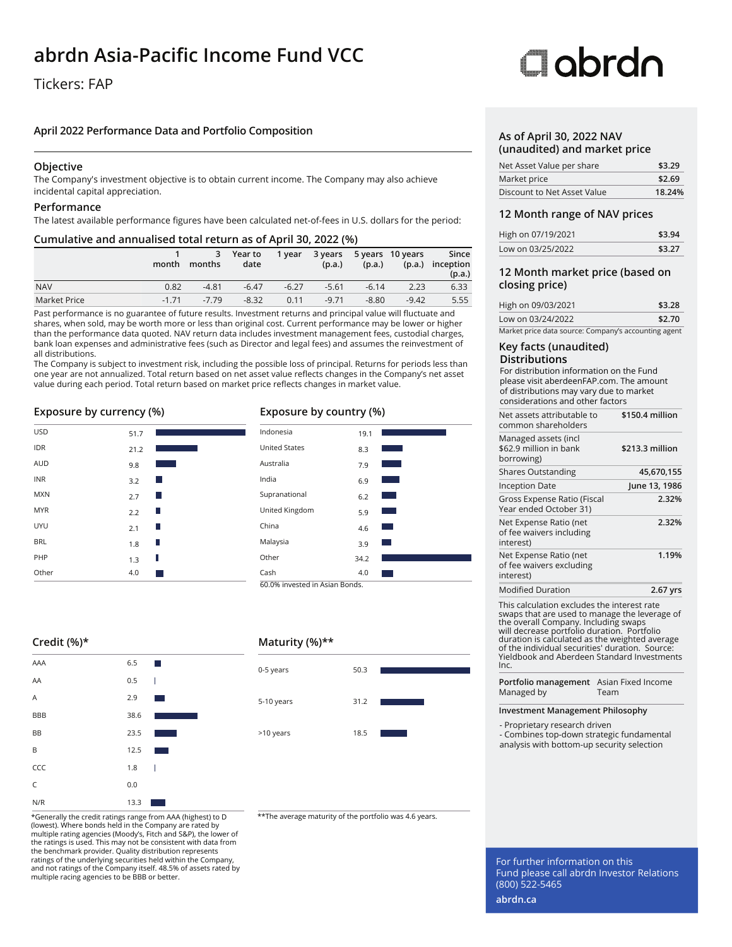## **abrdn Asia-Pacific Income Fund VCC**

### Tickers: FAP

### **April 2022 Performance Data and Portfolio Composition**

### **Objective**

The Company's investment objective is to obtain current income. The Company may also achieve incidental capital appreciation.

### **Performance**

The latest available performance figures have been calculated net-of-fees in U.S. dollars for the period:

### **Cumulative and annualised total return as of April 30, 2022 (%)**

|              | month   | 3<br>months | Year to<br>date | 1 year  | (p.a.)  | (p.a.)  | 3 years 5 years 10 years<br>(p.a.) | Since<br>inception<br>(p.a.) |
|--------------|---------|-------------|-----------------|---------|---------|---------|------------------------------------|------------------------------|
| <b>NAV</b>   | 0.82    | $-4.81$     | $-6.47$         | $-6.27$ | $-5.61$ | $-6.14$ | 2.23                               | 6.33                         |
| Market Price | $-1.71$ | $-7.79$     | $-8.32$         | 0.11    | $-9.71$ | $-8.80$ | $-9.42$                            | 5.55                         |

Past performance is no guarantee of future results. Investment returns and principal value will fluctuate and shares, when sold, may be worth more or less than original cost. Current performance may be lower or higher than the performance data quoted. NAV return data includes investment management fees, custodial charges, bank loan expenses and administrative fees (such as Director and legal fees) and assumes the reinvestment of all distributions.

The Company is subject to investment risk, including the possible loss of principal. Returns for periods less than one year are not annualized. Total return based on net asset value reflects changes in the Company's net asset value during each period. Total return based on market price reflects changes in market value.

### **Exposure by currency (%)**

| <b>USD</b> | 51.7 |     |
|------------|------|-----|
| <b>IDR</b> | 21.2 |     |
| <b>AUD</b> | 9.8  |     |
| <b>INR</b> | 3.2  | - 1 |
| <b>MXN</b> | 2.7  | - 1 |
| <b>MYR</b> | 2.2  | ۰   |
| <b>UYU</b> | 2.1  | Ш   |
| <b>BRL</b> | 1.8  |     |
| PHP        | 1.3  | П   |
| Other      | 4.0  |     |

### **Exposure by country (%)**



### **Credit (%)\***

| AAA        | 6.5  | H.                                      |
|------------|------|-----------------------------------------|
| AA         | 0.5  | I                                       |
| Α          | 2.9  | $\mathcal{L}^{\text{max}}_{\text{max}}$ |
| <b>BBB</b> | 38.6 |                                         |
| BB         | 23.5 |                                         |
| B          | 12.5 |                                         |
| CCC        | 1.8  | I                                       |
| C          | 0.0  |                                         |
| N/R        | 13.3 |                                         |

\*Generally the credit ratings range from AAA (highest) to D \*\*The average maturity of the portfolio was 4.6 years. (lowest). Where bonds held in the Company are rated by multiple rating agencies (Moody's, Fitch and S&P), the lower of the ratings is used. This may not be consistent with data from the benchmark provider. Quality distribution represents ratings of the underlying securities held within the Company, and not ratings of the Company itself. 48.5% of assets rated by multiple racing agencies to be BBB or better.

### **Maturity (%)\*\***



# **Clobrdo**

### **As of April 30, 2022 NAV (unaudited) and market price**

| Net Asset Value per share   | \$3.29 |
|-----------------------------|--------|
| Market price                | \$2.69 |
| Discount to Net Asset Value | 18.24% |

### **12 Month range of NAV prices**

| High on 07/19/2021 | \$3.94 |
|--------------------|--------|
| Low on 03/25/2022  | \$3.27 |

### **12 Month market price (based on closing price)**

| High on 09/03/2021                                   | \$3.28 |  |
|------------------------------------------------------|--------|--|
| Low on 03/24/2022                                    | \$2.70 |  |
| Market price data source: Company's accounting agent |        |  |

### **Key facts (unaudited) Distributions**

For distribution information on the Fund please visit aberdeenFAP.com. The amount of distributions may vary due to market considerations and other factors

| \$150.4 million |
|-----------------|
| \$213.3 million |
| 45,670,155      |
| June 13, 1986   |
| 2.32%           |
| 2.32%           |
| 1.19%           |
| 2.67 yrs        |
|                 |

This calculation excludes the interest swaps that are used to manage the leverage of the overall Company. Including swaps will decrease portfolio duration. Portfolio duration is calculated as the weighted average of the individual securities' duration. Source: Yieldbook and Aberdeen Standard Investments Inc.

**Portfolio management** Asian Fixed Income Managed by Team

### **Investment Management Philosophy**

- Proprietary research driven - Combines top-down strategic fundamental

analysis with bottom-up security selection

For further information on this Fund please call abrdn Investor Relations (800) 522-5465

**abrdn.ca**